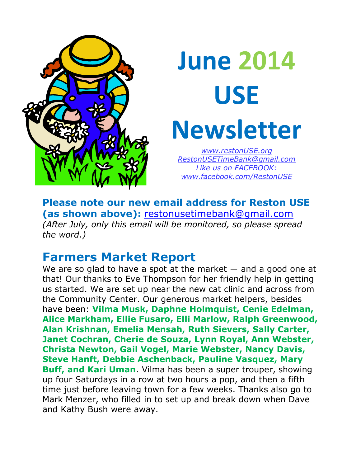

# **June 2014 USE Newsletter** *www.restonUSE.org*

*[RestonUSETimeBank@gmail.com](mailto:RestonUSETimeBank@gmail.com) Like us on FACEBOOK: [www.facebook.com/RestonUSE](http://www.facebook.com/RestonUSE)*

**Please note our new email address for Reston USE (as shown above):** [restonusetimebank@gmail.com](mailto:restonusetimebank@gmail.com) *(After July, only this email will be monitored, so please spread the word.)*

# **Farmers Market Report**

We are so glad to have a spot at the market  $-$  and a good one at that! Our thanks to Eve Thompson for her friendly help in getting us started. We are set up near the new cat clinic and across from the Community Center. Our generous market helpers, besides have been: **Vilma Musk, Daphne Holmquist, Cenie Edelman, Alice Markham, Ellie Fusaro, Elli Marlow, Ralph Greenwood, Alan Krishnan, Emelia Mensah, Ruth Sievers, Sally Carter, Janet Cochran, Cherie de Souza, Lynn Royal, Ann Webster, Christa Newton, Gail Vogel, Marie Webster, Nancy Davis, Steve Hanft, Debbie Aschenback, Pauline Vasquez, Mary Buff, and Kari Uman**. Vilma has been a super trouper, showing up four Saturdays in a row at two hours a pop, and then a fifth time just before leaving town for a few weeks. Thanks also go to Mark Menzer, who filled in to set up and break down when Dave and Kathy Bush were away.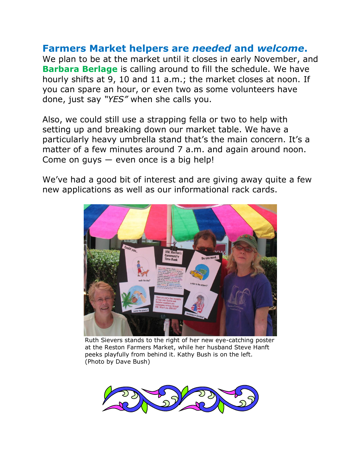#### **Farmers Market helpers are** *needed* **and** *welcome***.**

We plan to be at the market until it closes in early November, and **Barbara Berlage** is calling around to fill the schedule. We have hourly shifts at 9, 10 and 11 a.m.; the market closes at noon. If you can spare an hour, or even two as some volunteers have done, just say *"YES"* when she calls you.

Also, we could still use a strapping fella or two to help with setting up and breaking down our market table. We have a particularly heavy umbrella stand that's the main concern. It's a matter of a few minutes around 7 a.m. and again around noon. Come on guys  $-$  even once is a big help!

We've had a good bit of interest and are giving away quite a few new applications as well as our informational rack cards.



Ruth Sievers stands to the right of her new eye-catching poster at the Reston Farmers Market, while her husband Steve Hanft peeks playfully from behind it. Kathy Bush is on the left. (Photo by Dave Bush)

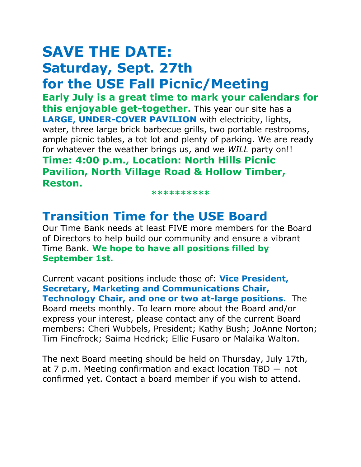# **SAVE THE DATE: Saturday, Sept. 27th for the USE Fall Picnic/Meeting**

**Early July is a great time to mark your calendars for this enjoyable get-together.** This year our site has a **LARGE, UNDER-COVER PAVILION** with electricity, lights, water, three large brick barbecue grills, two portable restrooms, ample picnic tables, a tot lot and plenty of parking. We are ready for whatever the weather brings us, and we *WILL* party on!! **Time: 4:00 p.m., Location: North Hills Picnic Pavilion, North Village Road & Hollow Timber, Reston.**

**\*\*\*\*\*\*\*\*\*\***

## **Transition Time for the USE Board**

Our Time Bank needs at least FIVE more members for the Board of Directors to help build our community and ensure a vibrant Time Bank. **We hope to have all positions filled by September 1st.**

Current vacant positions include those of: **Vice President, Secretary, Marketing and Communications Chair, Technology Chair, and one or two at-large positions.** The Board meets monthly. To learn more about the Board and/or express your interest, please contact any of the current Board members: Cheri Wubbels, President; Kathy Bush; JoAnne Norton; Tim Finefrock; Saima Hedrick; Ellie Fusaro or Malaika Walton.

The next Board meeting should be held on Thursday, July 17th, at 7 p.m. Meeting confirmation and exact location TBD ― not confirmed yet. Contact a board member if you wish to attend.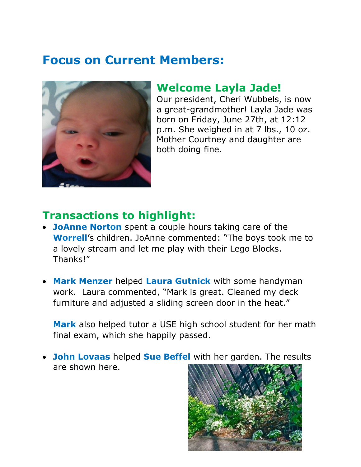# **Focus on Current Members:**



#### **Welcome Layla Jade!**

Our president, Cheri Wubbels, is now a great-grandmother! Layla Jade was born on Friday, June 27th, at 12:12 p.m. She weighed in at 7 lbs., 10 oz. Mother Courtney and daughter are both doing fine.

#### **Transactions to highlight:**

- **JoAnne Norton** spent a couple hours taking care of the **Worrell**'s children. JoAnne commented: "The boys took me to a lovely stream and let me play with their Lego Blocks. Thanks!"
- **Mark Menzer** helped **Laura Gutnick** with some handyman work. Laura commented, "Mark is great. Cleaned my deck furniture and adjusted a sliding screen door in the heat."

**Mark** also helped tutor a USE high school student for her math final exam, which she happily passed.

• **John Lovaas** helped **Sue Beffel** with her garden. The results are shown here.

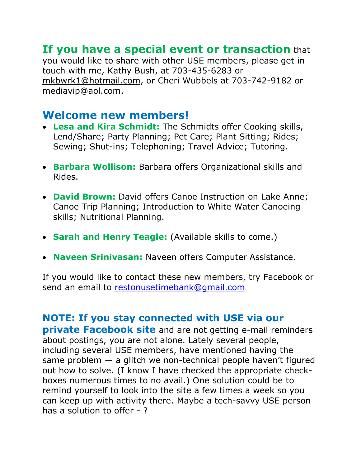### **If you have a special event or transaction** that

you would like to share with other USE members, please get in touch with me, Kathy Bush, at 703-435-6283 or [mkbwrk1@hotmail.com,](mailto:mkbwrk1@hotmail.com) or Cheri Wubbels at 703-742-9182 or [mediavip@aol.com.](mailto:mediavip@aol.com)

#### **Welcome new members!**

- **Lesa and Kira Schmidt:** The Schmidts offer Cooking skills, Lend/Share; Party Planning; Pet Care; Plant Sitting; Rides; Sewing; Shut-ins; Telephoning; Travel Advice; Tutoring.
- **Barbara Wollison:** Barbara offers Organizational skills and Rides.
- **David Brown:** David offers Canoe Instruction on Lake Anne; Canoe Trip Planning; Introduction to White Water Canoeing skills; Nutritional Planning.
- **Sarah and Henry Teagle:** (Available skills to come.)
- **Naveen Srinivasan:** Naveen offers Computer Assistance.

If you would like to contact these new members, try Facebook or send an email to [restonusetimebank@gmail.com](mailto:restonusetimebank@gmail.com).

#### **NOTE: If you stay connected with USE via our**

**private Facebook site** and are not getting e-mail reminders about postings, you are not alone. Lately several people, including several USE members, have mentioned having the same problem  $-$  a glitch we non-technical people haven't figured out how to solve. (I know I have checked the appropriate checkboxes numerous times to no avail.) One solution could be to remind yourself to look into the site a few times a week so you can keep up with activity there. Maybe a tech-savvy USE person has a solution to offer -?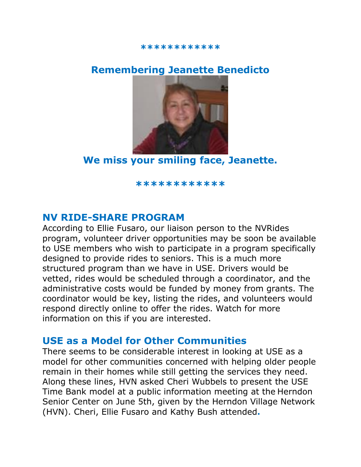#### **\*\*\*\*\*\*\*\*\*\*\*\***

#### **Remembering Jeanette Benedicto**



**We miss your smiling face, Jeanette.**

**\*\*\*\*\*\*\*\*\*\*\*\***

#### **NV RIDE-SHARE PROGRAM**

According to Ellie Fusaro, our liaison person to the NVRides program, volunteer driver opportunities may be soon be available to USE members who wish to participate in a program specifically designed to provide rides to seniors. This is a much more structured program than we have in USE. Drivers would be vetted, rides would be scheduled through a coordinator, and the administrative costs would be funded by money from grants. The coordinator would be key, listing the rides, and volunteers would respond directly online to offer the rides. Watch for more information on this if you are interested.

#### **USE as a Model for Other Communities**

There seems to be considerable interest in looking at USE as a model for other communities concerned with helping older people remain in their homes while still getting the services they need. Along these lines, HVN asked Cheri Wubbels to present the USE Time Bank model at a public information meeting at the Herndon Senior Center on June 5th, given by the Herndon Village Network (HVN). Cheri, Ellie Fusaro and Kathy Bush attended**.**